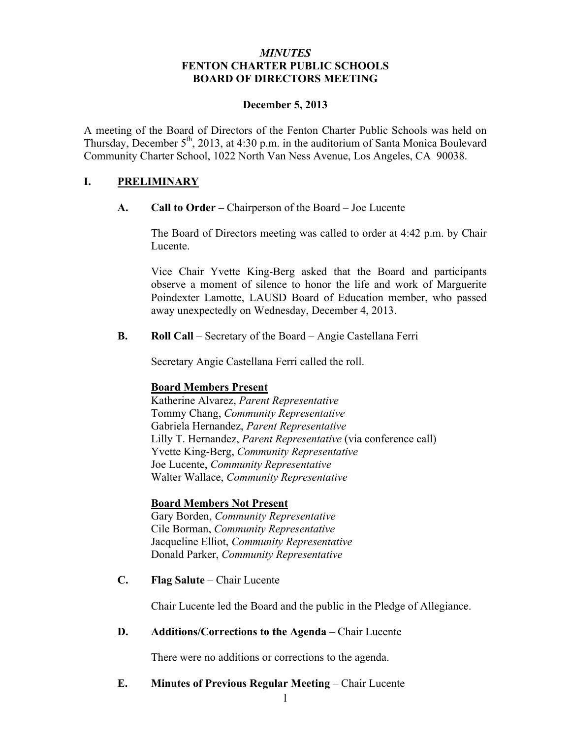### *MINUTES* **FENTON CHARTER PUBLIC SCHOOLS BOARD OF DIRECTORS MEETING**

#### **December 5, 2013**

A meeting of the Board of Directors of the Fenton Charter Public Schools was held on Thursday, December  $5<sup>th</sup>$ , 2013, at 4:30 p.m. in the auditorium of Santa Monica Boulevard Community Charter School, 1022 North Van Ness Avenue, Los Angeles, CA 90038.

### **I. PRELIMINARY**

**A. Call to Order –** Chairperson of the Board – Joe Lucente

The Board of Directors meeting was called to order at 4:42 p.m. by Chair Lucente.

Vice Chair Yvette King-Berg asked that the Board and participants observe a moment of silence to honor the life and work of Marguerite Poindexter Lamotte, LAUSD Board of Education member, who passed away unexpectedly on Wednesday, December 4, 2013.

**B. Roll Call** – Secretary of the Board – Angie Castellana Ferri

Secretary Angie Castellana Ferri called the roll.

#### **Board Members Present**

Katherine Alvarez, *Parent Representative* Tommy Chang, *Community Representative* Gabriela Hernandez, *Parent Representative* Lilly T. Hernandez, *Parent Representative* (via conference call) Yvette King-Berg, *Community Representative* Joe Lucente, *Community Representative* Walter Wallace, *Community Representative*

#### **Board Members Not Present**

Gary Borden, *Community Representative* Cile Borman, *Community Representative* Jacqueline Elliot, *Community Representative* Donald Parker, *Community Representative*

**C. Flag Salute** – Chair Lucente

Chair Lucente led the Board and the public in the Pledge of Allegiance.

#### **D. Additions/Corrections to the Agenda** – Chair Lucente

There were no additions or corrections to the agenda.

### **E. Minutes of Previous Regular Meeting – Chair Lucente**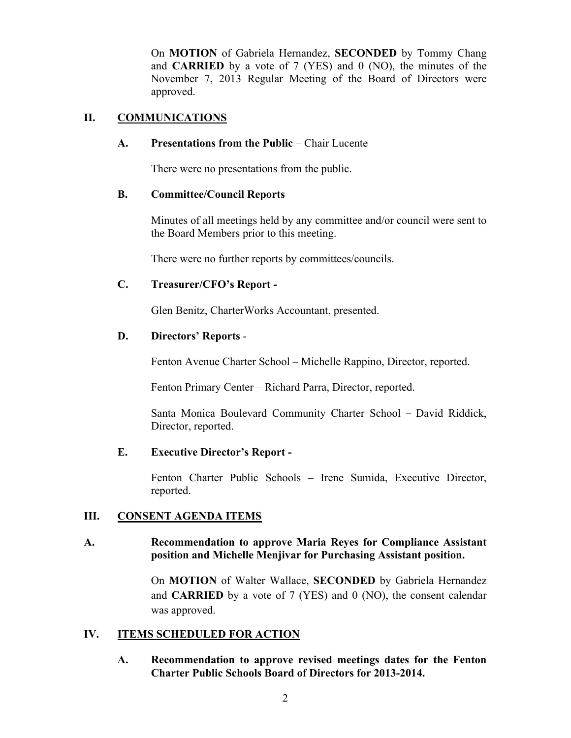On **MOTION** of Gabriela Hernandez, **SECONDED** by Tommy Chang and **CARRIED** by a vote of 7 (YES) and 0 (NO), the minutes of the November 7, 2013 Regular Meeting of the Board of Directors were approved.

# **II. COMMUNICATIONS**

### **A. Presentations from the Public** – Chair Lucente

There were no presentations from the public.

# **B. Committee/Council Reports**

Minutes of all meetings held by any committee and/or council were sent to the Board Members prior to this meeting.

There were no further reports by committees/councils.

# **C. Treasurer/CFO's Report -**

Glen Benitz, CharterWorks Accountant, presented.

# **D. Directors' Reports** -

Fenton Avenue Charter School – Michelle Rappino, Director, reported.

Fenton Primary Center – Richard Parra, Director, reported.

Santa Monica Boulevard Community Charter School – David Riddick, Director, reported.

#### **E. Executive Director's Report -**

Fenton Charter Public Schools – Irene Sumida, Executive Director, reported.

# **III. CONSENT AGENDA ITEMS**

### **A. Recommendation to approve Maria Reyes for Compliance Assistant position and Michelle Menjivar for Purchasing Assistant position.**

On **MOTION** of Walter Wallace, **SECONDED** by Gabriela Hernandez and **CARRIED** by a vote of 7 (YES) and 0 (NO), the consent calendar was approved.

# **IV. ITEMS SCHEDULED FOR ACTION**

**A. Recommendation to approve revised meetings dates for the Fenton Charter Public Schools Board of Directors for 2013-2014.**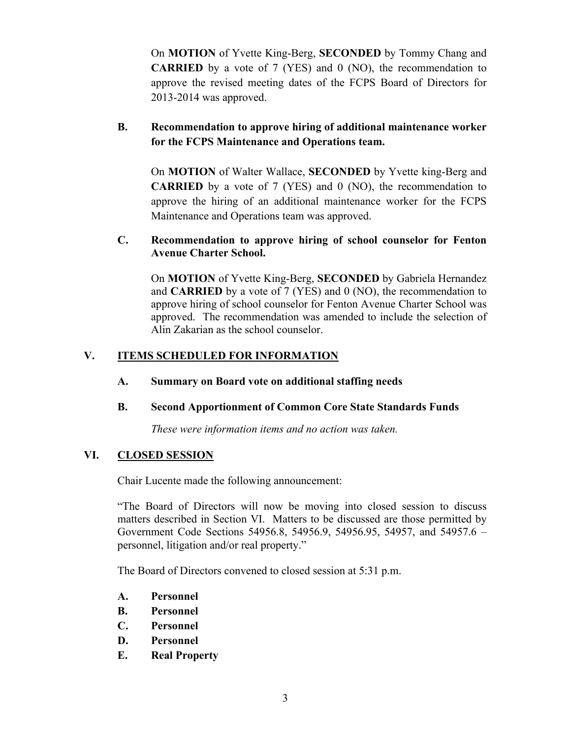On **MOTION** of Yvette King-Berg, **SECONDED** by Tommy Chang and **CARRIED** by a vote of 7 (YES) and 0 (NO), the recommendation to approve the revised meeting dates of the FCPS Board of Directors for 2013-2014 was approved.

# **B. Recommendation to approve hiring of additional maintenance worker for the FCPS Maintenance and Operations team.**

On **MOTION** of Walter Wallace, **SECONDED** by Yvette king-Berg and **CARRIED** by a vote of 7 (YES) and 0 (NO), the recommendation to approve the hiring of an additional maintenance worker for the FCPS Maintenance and Operations team was approved.

### **C. Recommendation to approve hiring of school counselor for Fenton Avenue Charter School.**

On **MOTION** of Yvette King-Berg, **SECONDED** by Gabriela Hernandez and **CARRIED** by a vote of 7 (YES) and 0 (NO), the recommendation to approve hiring of school counselor for Fenton Avenue Charter School was approved. The recommendation was amended to include the selection of Alin Zakarian as the school counselor.

# **V. ITEMS SCHEDULED FOR INFORMATION**

# **A. Summary on Board vote on additional staffing needs**

# **B. Second Apportionment of Common Core State Standards Funds**

*These were information items and no action was taken.*

#### **VI. CLOSED SESSION**

Chair Lucente made the following announcement:

"The Board of Directors will now be moving into closed session to discuss matters described in Section VI. Matters to be discussed are those permitted by Government Code Sections 54956.8, 54956.9, 54956.95, 54957, and 54957.6 – personnel, litigation and/or real property."

The Board of Directors convened to closed session at 5:31 p.m.

- **A. Personnel**
- **B. Personnel**
- **C. Personnel**
- **D. Personnel**
- **E. Real Property**